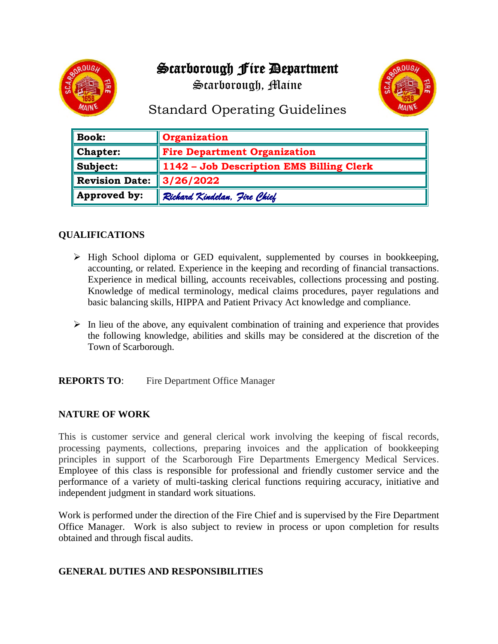# Scarborough Fire Department



Scarborough, Maine



## Standard Operating Guidelines

| <b>Book:</b>          | <b>Organization</b>                      |
|-----------------------|------------------------------------------|
| Chapter:              | <b>Fire Department Organization</b>      |
| Subject:              | 1142 - Job Description EMS Billing Clerk |
| <b>Revision Date:</b> | $\parallel$ 3/26/2022                    |
| Approved by:          | Richard Kindelan, Fire Chief             |

## **QUALIFICATIONS**

- ➢ High School diploma or GED equivalent, supplemented by courses in bookkeeping, accounting, or related. Experience in the keeping and recording of financial transactions. Experience in medical billing, accounts receivables, collections processing and posting. Knowledge of medical terminology, medical claims procedures, payer regulations and basic balancing skills, HIPPA and Patient Privacy Act knowledge and compliance.
- $\triangleright$  In lieu of the above, any equivalent combination of training and experience that provides the following knowledge, abilities and skills may be considered at the discretion of the Town of Scarborough.

**REPORTS TO:** Fire Department Office Manager

## **NATURE OF WORK**

This is customer service and general clerical work involving the keeping of fiscal records, processing payments, collections, preparing invoices and the application of bookkeeping principles in support of the Scarborough Fire Departments Emergency Medical Services. Employee of this class is responsible for professional and friendly customer service and the performance of a variety of multi-tasking clerical functions requiring accuracy, initiative and independent judgment in standard work situations.

Work is performed under the direction of the Fire Chief and is supervised by the Fire Department Office Manager. Work is also subject to review in process or upon completion for results obtained and through fiscal audits.

#### **GENERAL DUTIES AND RESPONSIBILITIES**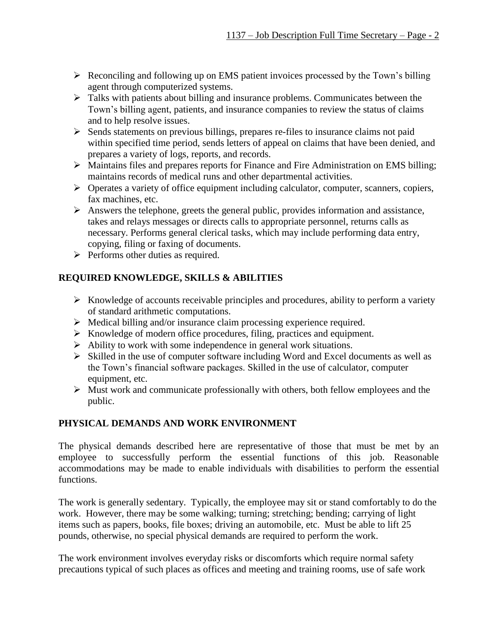- ➢ Reconciling and following up on EMS patient invoices processed by the Town's billing agent through computerized systems.
- ➢ Talks with patients about billing and insurance problems. Communicates between the Town's billing agent, patients, and insurance companies to review the status of claims and to help resolve issues.
- ➢ Sends statements on previous billings, prepares re-files to insurance claims not paid within specified time period, sends letters of appeal on claims that have been denied, and prepares a variety of logs, reports, and records.
- ➢ Maintains files and prepares reports for Finance and Fire Administration on EMS billing; maintains records of medical runs and other departmental activities.
- ➢ Operates a variety of office equipment including calculator, computer, scanners, copiers, fax machines, etc.
- ➢ Answers the telephone, greets the general public, provides information and assistance, takes and relays messages or directs calls to appropriate personnel, returns calls as necessary. Performs general clerical tasks, which may include performing data entry, copying, filing or faxing of documents.
- ➢ Performs other duties as required.

## **REQUIRED KNOWLEDGE, SKILLS & ABILITIES**

- ➢ Knowledge of accounts receivable principles and procedures, ability to perform a variety of standard arithmetic computations.
- ➢ Medical billing and/or insurance claim processing experience required.
- ➢ Knowledge of modern office procedures, filing, practices and equipment.
- ➢ Ability to work with some independence in general work situations.
- ➢ Skilled in the use of computer software including Word and Excel documents as well as the Town's financial software packages. Skilled in the use of calculator, computer equipment, etc.
- ➢ Must work and communicate professionally with others, both fellow employees and the public.

## **PHYSICAL DEMANDS AND WORK ENVIRONMENT**

The physical demands described here are representative of those that must be met by an employee to successfully perform the essential functions of this job. Reasonable accommodations may be made to enable individuals with disabilities to perform the essential functions.

The work is generally sedentary. Typically, the employee may sit or stand comfortably to do the work. However, there may be some walking; turning; stretching; bending; carrying of light items such as papers, books, file boxes; driving an automobile, etc. Must be able to lift 25 pounds, otherwise, no special physical demands are required to perform the work.

The work environment involves everyday risks or discomforts which require normal safety precautions typical of such places as offices and meeting and training rooms, use of safe work